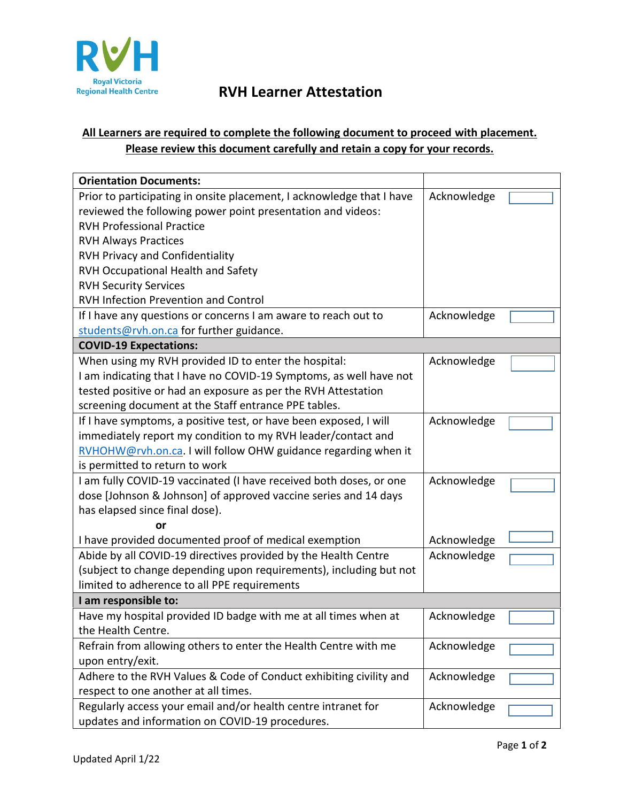

## **RVH Learner Attestation**

## **All Learners are required to complete the following document to proceed with placement. Please review this document carefully and retain a copy for your records.**

| <b>Orientation Documents:</b>                                         |             |  |
|-----------------------------------------------------------------------|-------------|--|
| Prior to participating in onsite placement, I acknowledge that I have | Acknowledge |  |
| reviewed the following power point presentation and videos:           |             |  |
| <b>RVH Professional Practice</b>                                      |             |  |
| <b>RVH Always Practices</b>                                           |             |  |
| <b>RVH Privacy and Confidentiality</b>                                |             |  |
| RVH Occupational Health and Safety                                    |             |  |
| <b>RVH Security Services</b>                                          |             |  |
| RVH Infection Prevention and Control                                  |             |  |
| If I have any questions or concerns I am aware to reach out to        | Acknowledge |  |
| students@rvh.on.ca for further guidance.                              |             |  |
| <b>COVID-19 Expectations:</b>                                         |             |  |
| When using my RVH provided ID to enter the hospital:                  | Acknowledge |  |
| I am indicating that I have no COVID-19 Symptoms, as well have not    |             |  |
| tested positive or had an exposure as per the RVH Attestation         |             |  |
| screening document at the Staff entrance PPE tables.                  |             |  |
| If I have symptoms, a positive test, or have been exposed, I will     | Acknowledge |  |
| immediately report my condition to my RVH leader/contact and          |             |  |
| RVHOHW@rvh.on.ca. I will follow OHW guidance regarding when it        |             |  |
| is permitted to return to work                                        |             |  |
| I am fully COVID-19 vaccinated (I have received both doses, or one    | Acknowledge |  |
| dose [Johnson & Johnson] of approved vaccine series and 14 days       |             |  |
| has elapsed since final dose).                                        |             |  |
| or                                                                    |             |  |
| I have provided documented proof of medical exemption                 | Acknowledge |  |
| Abide by all COVID-19 directives provided by the Health Centre        | Acknowledge |  |
| (subject to change depending upon requirements), including but not    |             |  |
| limited to adherence to all PPE requirements                          |             |  |
| I am responsible to:                                                  |             |  |
| Have my hospital provided ID badge with me at all times when at       | Acknowledge |  |
| the Health Centre.                                                    |             |  |
| Refrain from allowing others to enter the Health Centre with me       | Acknowledge |  |
| upon entry/exit.                                                      |             |  |
| Adhere to the RVH Values & Code of Conduct exhibiting civility and    | Acknowledge |  |
| respect to one another at all times.                                  |             |  |
| Regularly access your email and/or health centre intranet for         | Acknowledge |  |
| updates and information on COVID-19 procedures.                       |             |  |